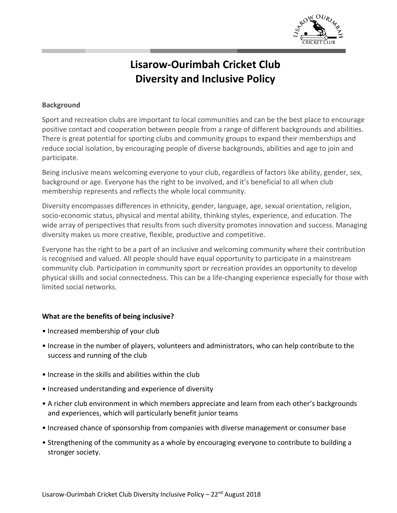

# **Lisarow-Ourimbah Cricket Club Diversity and Inclusive Policy**

## **Background**

Sport and recreation clubs are important to local communities and can be the best place to encourage positive contact and cooperation between people from a range of different backgrounds and abilities. There is great potential for sporting clubs and community groups to expand their memberships and reduce social isolation, by encouraging people of diverse backgrounds, abilities and age to join and participate.

Being inclusive means welcoming everyone to your club, regardless of factors like ability, gender, sex, background or age. Everyone has the right to be involved, and it's beneficial to all when club membership represents and reflects the whole local community.

Diversity encompasses differences in ethnicity, gender, language, age, sexual orientation, religion, socio-economic status, physical and mental ability, thinking styles, experience, and education. The wide array of perspectives that results from such diversity promotes innovation and success. Managing diversity makes us more creative, flexible, productive and competitive.

Everyone has the right to be a part of an inclusive and welcoming community where their contribution is recognised and valued. All people should have equal opportunity to participate in a mainstream community club. Participation in community sport or recreation provides an opportunity to develop physical skills and social connectedness. This can be a life-changing experience especially for those with limited social networks.

### **What are the benefits of being inclusive?**

- Increased membership of your club
- Increase in the number of players, volunteers and administrators, who can help contribute to the success and running of the club
- Increase in the skills and abilities within the club
- Increased understanding and experience of diversity
- A richer club environment in which members appreciate and learn from each other's backgrounds and experiences, which will particularly benefit junior teams
- Increased chance of sponsorship from companies with diverse management or consumer base
- Strengthening of the community as a whole by encouraging everyone to contribute to building a stronger society.